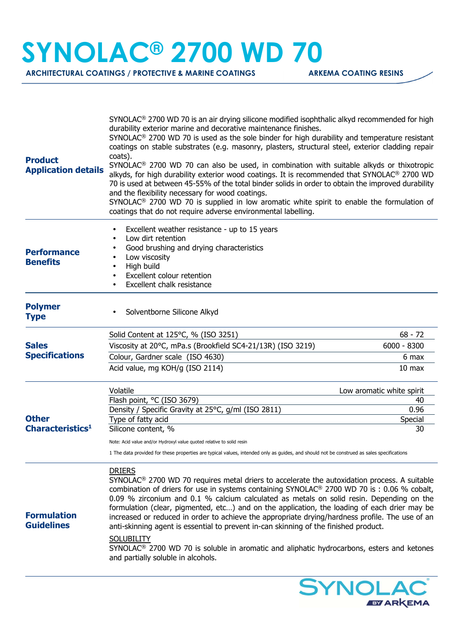## **SYNOLAC® 2700 WD 70**

**ARCHITECTURAL COATINGS / PROTECTIVE & MARINE COATINGS ARKEMA COATING RESINS** 

| <b>Product</b><br><b>Application details</b> | $SYNOLAC®$ 2700 WD 70 is an air drying silicone modified isophthalic alkyd recommended for high<br>durability exterior marine and decorative maintenance finishes.<br>$SYNOLAC®$ 2700 WD 70 is used as the sole binder for high durability and temperature resistant<br>coatings on stable substrates (e.g. masonry, plasters, structural steel, exterior cladding repair<br>coats).<br>SYNOLAC <sup>®</sup> 2700 WD 70 can also be used, in combination with suitable alkyds or thixotropic<br>alkyds, for high durability exterior wood coatings. It is recommended that SYNOLAC® 2700 WD<br>70 is used at between 45-55% of the total binder solids in order to obtain the improved durability<br>and the flexibility necessary for wood coatings.<br>SYNOLAC <sup>®</sup> 2700 WD 70 is supplied in low aromatic white spirit to enable the formulation of<br>coatings that do not require adverse environmental labelling. |                           |
|----------------------------------------------|---------------------------------------------------------------------------------------------------------------------------------------------------------------------------------------------------------------------------------------------------------------------------------------------------------------------------------------------------------------------------------------------------------------------------------------------------------------------------------------------------------------------------------------------------------------------------------------------------------------------------------------------------------------------------------------------------------------------------------------------------------------------------------------------------------------------------------------------------------------------------------------------------------------------------------|---------------------------|
| <b>Performance</b><br><b>Benefits</b>        | Excellent weather resistance - up to 15 years<br>Low dirt retention<br>$\bullet$<br>Good brushing and drying characteristics<br>$\bullet$<br>Low viscosity<br>High build<br>$\bullet$<br><b>Excellent colour retention</b><br>$\bullet$<br>Excellent chalk resistance<br>$\bullet$                                                                                                                                                                                                                                                                                                                                                                                                                                                                                                                                                                                                                                              |                           |
| <b>Polymer</b><br><b>Type</b>                | Solventborne Silicone Alkyd                                                                                                                                                                                                                                                                                                                                                                                                                                                                                                                                                                                                                                                                                                                                                                                                                                                                                                     |                           |
|                                              | Solid Content at 125°C, % (ISO 3251)                                                                                                                                                                                                                                                                                                                                                                                                                                                                                                                                                                                                                                                                                                                                                                                                                                                                                            | $68 - 72$                 |
| <b>Sales</b><br><b>Specifications</b>        | Viscosity at 20°C, mPa.s (Brookfield SC4-21/13R) (ISO 3219)                                                                                                                                                                                                                                                                                                                                                                                                                                                                                                                                                                                                                                                                                                                                                                                                                                                                     | $6000 - 8300$             |
|                                              | Colour, Gardner scale (ISO 4630)                                                                                                                                                                                                                                                                                                                                                                                                                                                                                                                                                                                                                                                                                                                                                                                                                                                                                                | 6 max                     |
|                                              | Acid value, mg KOH/g (ISO 2114)                                                                                                                                                                                                                                                                                                                                                                                                                                                                                                                                                                                                                                                                                                                                                                                                                                                                                                 | 10 <sub>max</sub>         |
|                                              | Volatile                                                                                                                                                                                                                                                                                                                                                                                                                                                                                                                                                                                                                                                                                                                                                                                                                                                                                                                        | Low aromatic white spirit |
|                                              | Flash point, °C (ISO 3679)                                                                                                                                                                                                                                                                                                                                                                                                                                                                                                                                                                                                                                                                                                                                                                                                                                                                                                      | 40                        |
| <b>Other</b><br>Characteristics <sup>1</sup> | Density / Specific Gravity at 25°C, g/ml (ISO 2811)                                                                                                                                                                                                                                                                                                                                                                                                                                                                                                                                                                                                                                                                                                                                                                                                                                                                             | 0.96                      |
|                                              | Type of fatty acid<br>Silicone content, %                                                                                                                                                                                                                                                                                                                                                                                                                                                                                                                                                                                                                                                                                                                                                                                                                                                                                       | Special<br>30             |
|                                              |                                                                                                                                                                                                                                                                                                                                                                                                                                                                                                                                                                                                                                                                                                                                                                                                                                                                                                                                 |                           |
|                                              | Note: Acid value and/or Hydroxyl value quoted relative to solid resin                                                                                                                                                                                                                                                                                                                                                                                                                                                                                                                                                                                                                                                                                                                                                                                                                                                           |                           |
|                                              | 1 The data provided for these properties are typical values, intended only as quides, and should not be construed as sales specifications                                                                                                                                                                                                                                                                                                                                                                                                                                                                                                                                                                                                                                                                                                                                                                                       |                           |
| <b>Formulation</b><br><b>Guidelines</b>      | <b>DRIERS</b><br>SYNOLAC <sup>®</sup> 2700 WD 70 requires metal driers to accelerate the autoxidation process. A suitable<br>combination of driers for use in systems containing SYNOLAC® 2700 WD 70 is : 0.06 % cobalt,<br>0.09 % zirconium and 0.1 % calcium calculated as metals on solid resin. Depending on the<br>formulation (clear, pigmented, etc) and on the application, the loading of each drier may be<br>increased or reduced in order to achieve the appropriate drying/hardness profile. The use of an<br>anti-skinning agent is essential to prevent in-can skinning of the finished product.<br><b>SOLUBILITY</b><br>SYNOLAC <sup>®</sup> 2700 WD 70 is soluble in aromatic and aliphatic hydrocarbons, esters and ketones<br>and partially soluble in alcohols.                                                                                                                                             |                           |